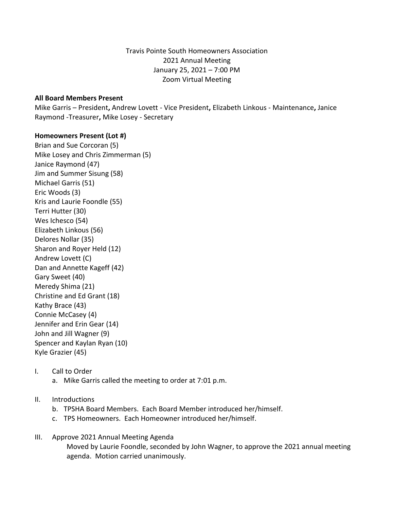Travis Pointe South Homeowners Association 2021 Annual Meeting January 25, 2021 – 7:00 PM Zoom Virtual Meeting

### **All Board Members Present**

Mike Garris – President**,** Andrew Lovett - Vice President**,** Elizabeth Linkous - Maintenance**,** Janice Raymond -Treasurer**,** Mike Losey - Secretary

### **Homeowners Present (Lot #)**

Brian and Sue Corcoran (5) Mike Losey and Chris Zimmerman (5) Janice Raymond (47) Jim and Summer Sisung (58) Michael Garris (51) Eric Woods (3) Kris and Laurie Foondle (55) Terri Hutter (30) Wes Ichesco (54) Elizabeth Linkous (56) Delores Nollar (35) Sharon and Royer Held (12) Andrew Lovett (C) Dan and Annette Kageff (42) Gary Sweet (40) Meredy Shima (21) Christine and Ed Grant (18) Kathy Brace (43) Connie McCasey (4) Jennifer and Erin Gear (14) John and Jill Wagner (9) Spencer and Kaylan Ryan (10) Kyle Grazier (45)

# I. Call to Order

- a. Mike Garris called the meeting to order at 7:01 p.m.
- II. Introductions
	- b. TPSHA Board Members. Each Board Member introduced her/himself.
	- c. TPS Homeowners. Each Homeowner introduced her/himself.
- III. Approve 2021 Annual Meeting Agenda Moved by Laurie Foondle, seconded by John Wagner, to approve the 2021 annual meeting agenda. Motion carried unanimously.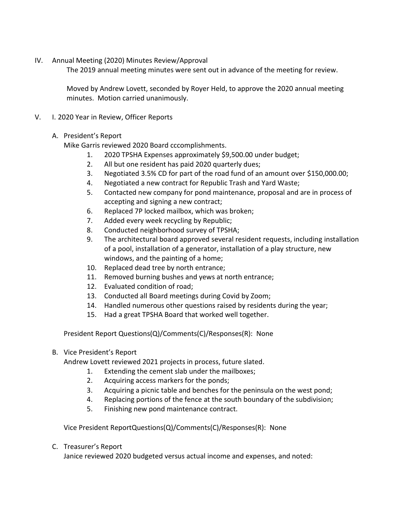IV. Annual Meeting (2020) Minutes Review/Approval

The 2019 annual meeting minutes were sent out in advance of the meeting for review.

Moved by Andrew Lovett, seconded by Royer Held, to approve the 2020 annual meeting minutes. Motion carried unanimously.

V. I. 2020 Year in Review, Officer Reports

# A. President's Report

Mike Garris reviewed 2020 Board cccomplishments.

- 1. 2020 TPSHA Expenses approximately \$9,500.00 under budget;
- 2. All but one resident has paid 2020 quarterly dues;
- 3. Negotiated 3.5% CD for part of the road fund of an amount over \$150,000.00;
- 4. Negotiated a new contract for Republic Trash and Yard Waste;
- 5. Contacted new company for pond maintenance, proposal and are in process of accepting and signing a new contract;
- 6. Replaced 7P locked mailbox, which was broken;
- 7. Added every week recycling by Republic;
- 8. Conducted neighborhood survey of TPSHA;
- 9. The architectural board approved several resident requests, including installation of a pool, installation of a generator, installation of a play structure, new windows, and the painting of a home;
- 10. Replaced dead tree by north entrance;
- 11. Removed burning bushes and yews at north entrance;
- 12. Evaluated condition of road;
- 13. Conducted all Board meetings during Covid by Zoom;
- 14. Handled numerous other questions raised by residents during the year;
- 15. Had a great TPSHA Board that worked well together.

President Report Questions(Q)/Comments(C)/Responses(R): None

B. Vice President's Report

Andrew Lovett reviewed 2021 projects in process, future slated.

- 1. Extending the cement slab under the mailboxes;
- 2. Acquiring access markers for the ponds;
- 3. Acquiring a picnic table and benches for the peninsula on the west pond;
- 4. Replacing portions of the fence at the south boundary of the subdivision;
- 5. Finishing new pond maintenance contract.

Vice President ReportQuestions(Q)/Comments(C)/Responses(R): None

C. Treasurer's Report

Janice reviewed 2020 budgeted versus actual income and expenses, and noted: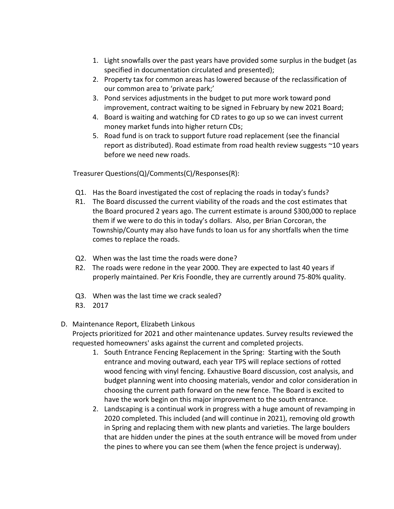- 1. Light snowfalls over the past years have provided some surplus in the budget (as specified in documentation circulated and presented);
- 2. Property tax for common areas has lowered because of the reclassification of our common area to 'private park;'
- 3. Pond services adjustments in the budget to put more work toward pond improvement, contract waiting to be signed in February by new 2021 Board;
- 4. Board is waiting and watching for CD rates to go up so we can invest current money market funds into higher return CDs;
- 5. Road fund is on track to support future road replacement (see the financial report as distributed). Road estimate from road health review suggests ~10 years before we need new roads.

Treasurer Questions(Q)/Comments(C)/Responses(R):

- Q1. Has the Board investigated the cost of replacing the roads in today's funds?
- R1. The Board discussed the current viability of the roads and the cost estimates that the Board procured 2 years ago. The current estimate is around \$300,000 to replace them if we were to do this in today's dollars. Also, per Brian Corcoran, the Township/County may also have funds to loan us for any shortfalls when the time comes to replace the roads.
- Q2. When was the last time the roads were done?
- R2. The roads were redone in the year 2000. They are expected to last 40 years if properly maintained. Per Kris Foondle, they are currently around 75-80% quality.
- Q3. When was the last time we crack sealed?
- R3. 2017
- D. Maintenance Report, Elizabeth Linkous

Projects prioritized for 2021 and other maintenance updates. Survey results reviewed the requested homeowners' asks against the current and completed projects.

- 1. South Entrance Fencing Replacement in the Spring: Starting with the South entrance and moving outward, each year TPS will replace sections of rotted wood fencing with vinyl fencing. Exhaustive Board discussion, cost analysis, and budget planning went into choosing materials, vendor and color consideration in choosing the current path forward on the new fence. The Board is excited to have the work begin on this major improvement to the south entrance.
- 2. Landscaping is a continual work in progress with a huge amount of revamping in 2020 completed. This included (and will continue in 2021), removing old growth in Spring and replacing them with new plants and varieties. The large boulders that are hidden under the pines at the south entrance will be moved from under the pines to where you can see them (when the fence project is underway).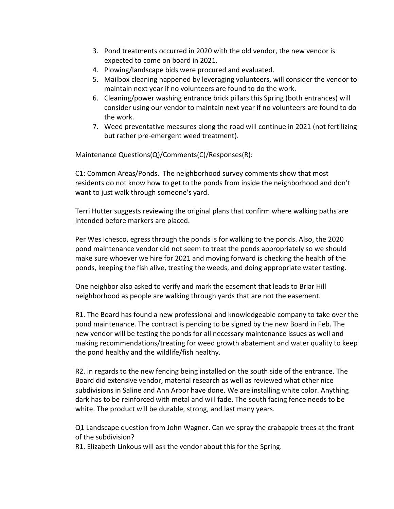- 3. Pond treatments occurred in 2020 with the old vendor, the new vendor is expected to come on board in 2021.
- 4. Plowing/landscape bids were procured and evaluated.
- 5. Mailbox cleaning happened by leveraging volunteers, will consider the vendor to maintain next year if no volunteers are found to do the work.
- 6. Cleaning/power washing entrance brick pillars this Spring (both entrances) will consider using our vendor to maintain next year if no volunteers are found to do the work.
- 7. Weed preventative measures along the road will continue in 2021 (not fertilizing but rather pre-emergent weed treatment).

Maintenance Questions(Q)/Comments(C)/Responses(R):

C1: Common Areas/Ponds. The neighborhood survey comments show that most residents do not know how to get to the ponds from inside the neighborhood and don't want to just walk through someone's yard.

Terri Hutter suggests reviewing the original plans that confirm where walking paths are intended before markers are placed.

Per Wes Ichesco, egress through the ponds is for walking to the ponds. Also, the 2020 pond maintenance vendor did not seem to treat the ponds appropriately so we should make sure whoever we hire for 2021 and moving forward is checking the health of the ponds, keeping the fish alive, treating the weeds, and doing appropriate water testing.

One neighbor also asked to verify and mark the easement that leads to Briar Hill neighborhood as people are walking through yards that are not the easement.

R1. The Board has found a new professional and knowledgeable company to take over the pond maintenance. The contract is pending to be signed by the new Board in Feb. The new vendor will be testing the ponds for all necessary maintenance issues as well and making recommendations/treating for weed growth abatement and water quality to keep the pond healthy and the wildlife/fish healthy.

R2. in regards to the new fencing being installed on the south side of the entrance. The Board did extensive vendor, material research as well as reviewed what other nice subdivisions in Saline and Ann Arbor have done. We are installing white color. Anything dark has to be reinforced with metal and will fade. The south facing fence needs to be white. The product will be durable, strong, and last many years.

Q1 Landscape question from John Wagner. Can we spray the crabapple trees at the front of the subdivision?

R1. Elizabeth Linkous will ask the vendor about this for the Spring.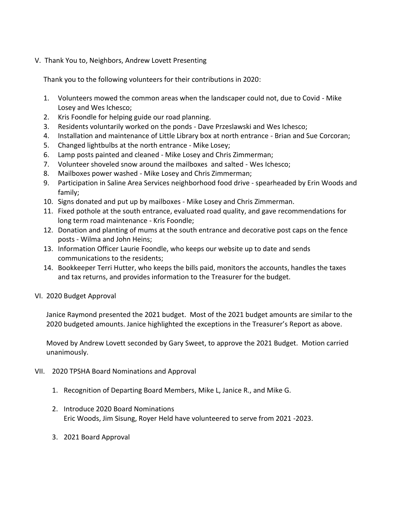V. Thank You to, Neighbors, Andrew Lovett Presenting

Thank you to the following volunteers for their contributions in 2020:

- 1. Volunteers mowed the common areas when the landscaper could not, due to Covid Mike Losey and Wes Ichesco;
- 2. Kris Foondle for helping guide our road planning.
- 3. Residents voluntarily worked on the ponds Dave Przeslawski and Wes Ichesco;
- 4. Installation and maintenance of Little Library box at north entrance Brian and Sue Corcoran;
- 5. Changed lightbulbs at the north entrance Mike Losey;
- 6. Lamp posts painted and cleaned Mike Losey and Chris Zimmerman;
- 7. Volunteer shoveled snow around the mailboxes and salted Wes Ichesco;
- 8. Mailboxes power washed Mike Losey and Chris Zimmerman;
- 9. Participation in Saline Area Services neighborhood food drive spearheaded by Erin Woods and family;
- 10. Signs donated and put up by mailboxes Mike Losey and Chris Zimmerman.
- 11. Fixed pothole at the south entrance, evaluated road quality, and gave recommendations for long term road maintenance - Kris Foondle;
- 12. Donation and planting of mums at the south entrance and decorative post caps on the fence posts - Wilma and John Heins;
- 13. Information Officer Laurie Foondle, who keeps our website up to date and sends communications to the residents;
- 14. Bookkeeper Terri Hutter, who keeps the bills paid, monitors the accounts, handles the taxes and tax returns, and provides information to the Treasurer for the budget.
- VI. 2020 Budget Approval

Janice Raymond presented the 2021 budget. Most of the 2021 budget amounts are similar to the 2020 budgeted amounts. Janice highlighted the exceptions in the Treasurer's Report as above.

Moved by Andrew Lovett seconded by Gary Sweet, to approve the 2021 Budget. Motion carried unanimously.

- VII. 2020 TPSHA Board Nominations and Approval
	- 1. Recognition of Departing Board Members, Mike L, Janice R., and Mike G.
	- 2. Introduce 2020 Board Nominations Eric Woods, Jim Sisung, Royer Held have volunteered to serve from 2021 -2023.
	- 3. 2021 Board Approval